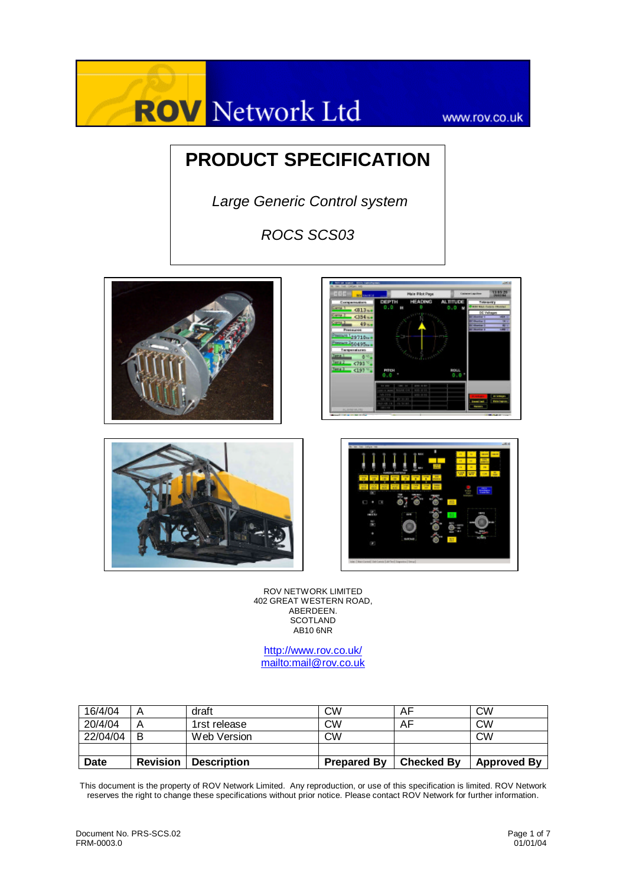# **ROV** Network Ltd

www.rov.co.uk

# **PRODUCT SPECIFICATION**

 *Large Generic Control system* 

*ROCS SCS03*









ROV NETWORK LIMITED 402 GREAT WESTERN ROAD, ABERDEEN. **SCOTLAND**  $AB10$  6NR

http://www.rov.co.uk/ mailto:mail@rov.co.uk

| 16/4/04     |                 | draft              | <b>CW</b>          | AF                | <b>CW</b>          |
|-------------|-----------------|--------------------|--------------------|-------------------|--------------------|
| 20/4/04     |                 | 1rst release       | CW                 | AF                | <b>CW</b>          |
| 22/04/04    | B               | Web Version        | CW                 |                   | <b>CW</b>          |
|             |                 |                    |                    |                   |                    |
| <b>Date</b> | <b>Revision</b> | <b>Description</b> | <b>Prepared By</b> | <b>Checked By</b> | <b>Approved By</b> |

This document is the property of ROV Network Limited. Any reproduction, or use of this specification is limited. ROV Network reserves the right to change these specifications without prior notice. Please contact ROV Network for further information.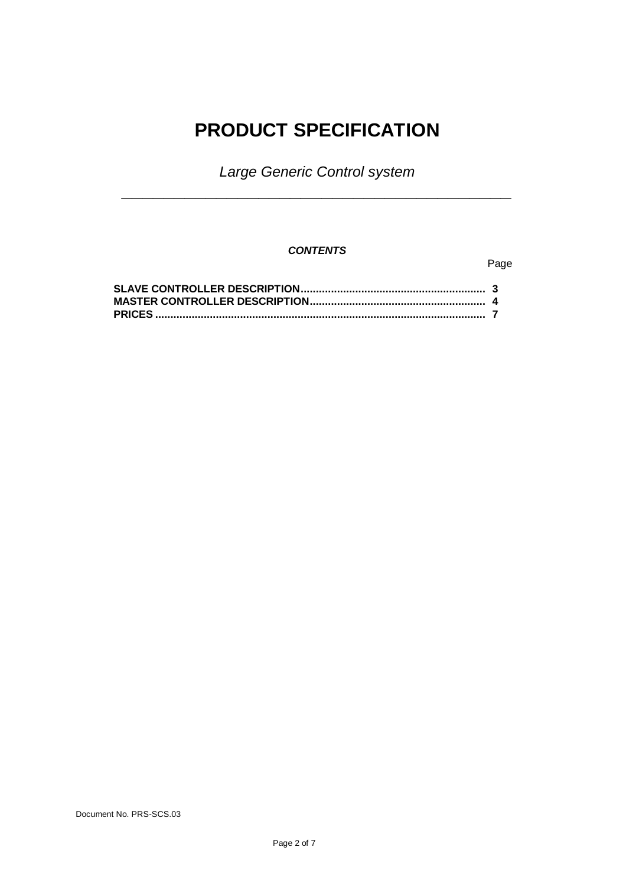# **PRODUCT SPECIFICATION**

*Large Generic Control system* **\_\_\_\_\_\_\_\_\_\_\_\_\_\_\_\_\_\_\_\_\_\_\_\_\_\_\_\_\_\_\_\_\_\_\_\_\_**

## *CONTENTS*

### Page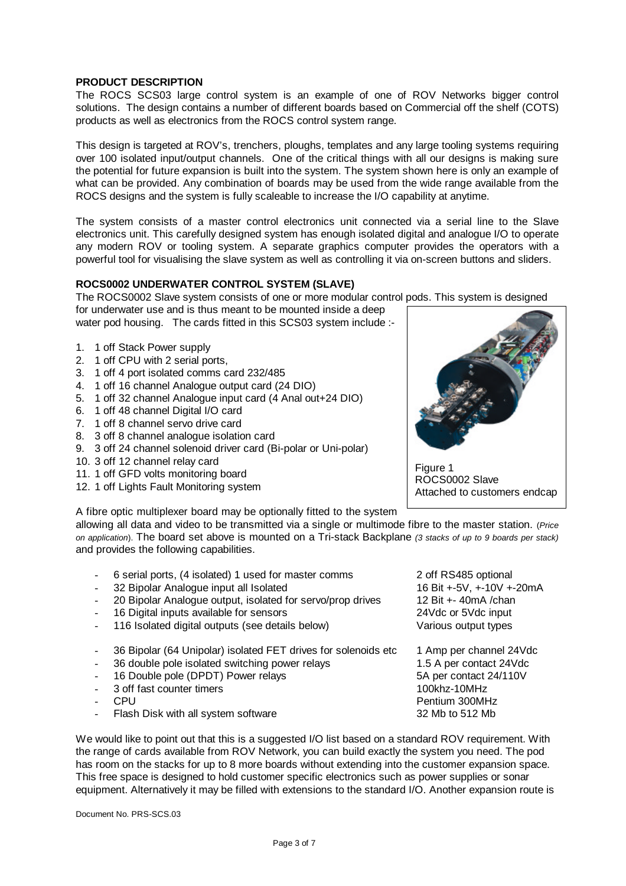#### **PRODUCT DESCRIPTION**

The ROCS SCS03 large control system is an example of one of ROV Networks bigger control solutions. The design contains a number of different boards based on Commercial off the shelf (COTS) products as well as electronics from the ROCS control system range.

This design is targeted at ROV's, trenchers, ploughs, templates and any large tooling systems requiring over 100 isolated input/output channels. One of the critical things with all our designs is making sure the potential for future expansion is built into the system. The system shown here is only an example of what can be provided. Any combination of boards may be used from the wide range available from the ROCS designs and the system is fully scaleable to increase the I/O capability at anytime.

The system consists of a master control electronics unit connected via a serial line to the Slave electronics unit. This carefully designed system has enough isolated digital and analogue I/O to operate any modern ROV or tooling system. A separate graphics computer provides the operators with a powerful tool for visualising the slave system as well as controlling it via on-screen buttons and sliders.

#### **ROCS0002 UNDERWATER CONTROL SYSTEM (SLAVE)**

The ROCS0002 Slave system consists of one or more modular control pods. This system is designed

for underwater use and is thus meant to be mounted inside a deep water pod housing. The cards fitted in this SCS03 system include :-

- 1. 1 off Stack Power supply
- 2. 1 off CPU with 2 serial ports,
- 3. 1 off 4 port isolated comms card 232/485
- 4. 1 off 16 channel Analogue output card (24 DIO)
- 5. 1 off 32 channel Analogue input card (4 Anal out+24 DIO)
- 6. 1 off 48 channel Digital I/O card
- 7. 1 off 8 channel servo drive card
- 8. 3 off 8 channel analogue isolation card
- 9. 3 off 24 channel solenoid driver card (Bi-polar or Uni-polar)
- 10. 3 off 12 channel relay card
- 11. 1 off GFD volts monitoring board
- 12. 1 off Lights Fault Monitoring system

A fibre optic multiplexer board may be optionally fitted to the system

allowing all data and video to be transmitted via a single or multimode fibre to the master station. (*Price on application*). The board set above is mounted on a Tri-stack Backplane *(3 stacks of up to 9 boards per stack)* and provides the following capabilities.

- 6 serial ports, (4 isolated) 1 used for master comms 2 off RS485 optional
- 32 Bipolar Analogue input all Isolated 16 Bit +-5V, +-10V +-20mA
- 20 Bipolar Analogue output, isolated for servo/prop drives 12 Bit +- 40mA /chan
- 16 Digital inputs available for sensors 24Vdc or 5Vdc input
- 116 Isolated digital outputs (see details below) Various output types
- 36 Bipolar (64 Unipolar) isolated FET drives for solenoids etc 1 Amp per channel 24Vdc<br>36 double pole isolated switching power relays 1.5 A per contact 24Vdc
- 36 double pole isolated switching power relays
- 16 Double pole (DPDT) Power relays 5A per contact 24/110V
- 3 off fast counter timers 100khz-10MHz
- 
- Flash Disk with all system software

We would like to point out that this is a suggested I/O list based on a standard ROV requirement. With the range of cards available from ROV Network, you can build exactly the system you need. The pod has room on the stacks for up to 8 more boards without extending into the customer expansion space. This free space is designed to hold customer specific electronics such as power supplies or sonar equipment. Alternatively it may be filled with extensions to the standard I/O. Another expansion route is

Document No. PRS-SCS.03

Figure 1 ROCS0002 Slave Attached to customers endcap

Pentium 300MHz<br>
Flash Disk with all system software<br>
Pentium 300MHz<br>
32 Mb to 512 Mb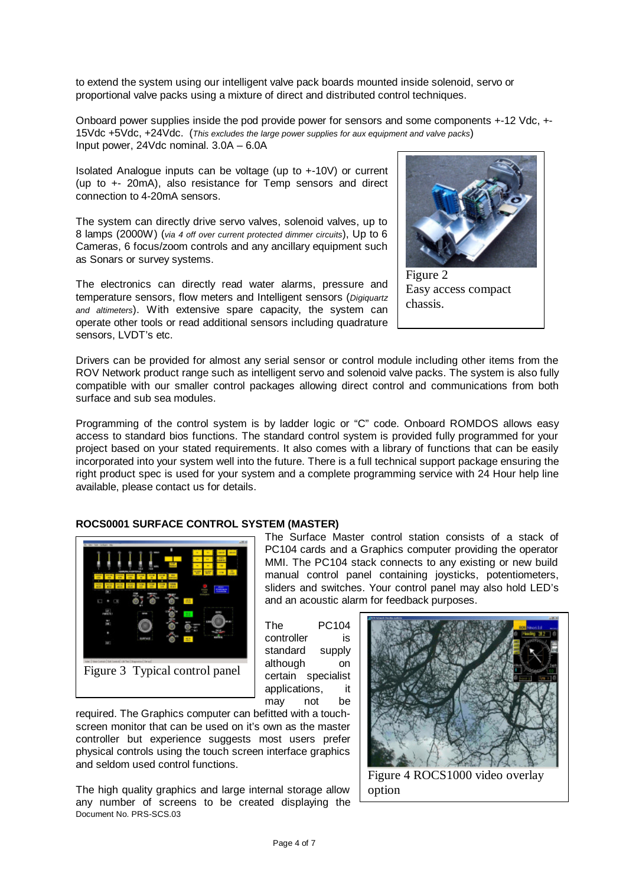to extend the system using our intelligent valve pack boards mounted inside solenoid, servo or proportional valve packs using a mixture of direct and distributed control techniques.

Onboard power supplies inside the pod provide power for sensors and some components +-12 Vdc, +- 15Vdc +5Vdc, +24Vdc. (*This excludes the large power supplies for aux equipment and valve packs*) Input power, 24Vdc nominal. 3.0A – 6.0A

Isolated Analogue inputs can be voltage (up to +-10V) or current (up to +- 20mA), also resistance for Temp sensors and direct connection to 4-20mA sensors.

The system can directly drive servo valves, solenoid valves, up to 8 lamps (2000W) (*via 4 off over current protected dimmer circuits*), Up to 6 Cameras, 6 focus/zoom controls and any ancillary equipment such as Sonars or survey systems.

The electronics can directly read water alarms, pressure and temperature sensors, flow meters and Intelligent sensors (*Digiquartz and altimeters*). With extensive spare capacity, the system can operate other tools or read additional sensors including quadrature sensors, LVDT's etc.



Easy access compact chassis.

Drivers can be provided for almost any serial sensor or control module including other items from the ROV Network product range such as intelligent servo and solenoid valve packs. The system is also fully compatible with our smaller control packages allowing direct control and communications from both surface and sub sea modules.

Programming of the control system is by ladder logic or "C" code. Onboard ROMDOS allows easy access to standard bios functions. The standard control system is provided fully programmed for your project based on your stated requirements. It also comes with a library of functions that can be easily incorporated into your system well into the future. There is a full technical support package ensuring the right product spec is used for your system and a complete programming service with 24 Hour help line available, please contact us for details.

#### **ROCS0001 SURFACE CONTROL SYSTEM (MASTER)**



The Surface Master control station consists of a stack of PC104 cards and a Graphics computer providing the operator MMI. The PC104 stack connects to any existing or new build manual control panel containing joysticks, potentiometers, sliders and switches. Your control panel may also hold LED's and an acoustic alarm for feedback purposes.

The PC104 controller is standard supply although on certain specialist applications, it may not be

required. The Graphics computer can befitted with a touchscreen monitor that can be used on it's own as the master controller but experience suggests most users prefer physical controls using the touch screen interface graphics and seldom used control functions.

Document No. PRS-SCS.03 The high quality graphics and large internal storage allow any number of screens to be created displaying the



Figure 4 ROCS1000 video overlay option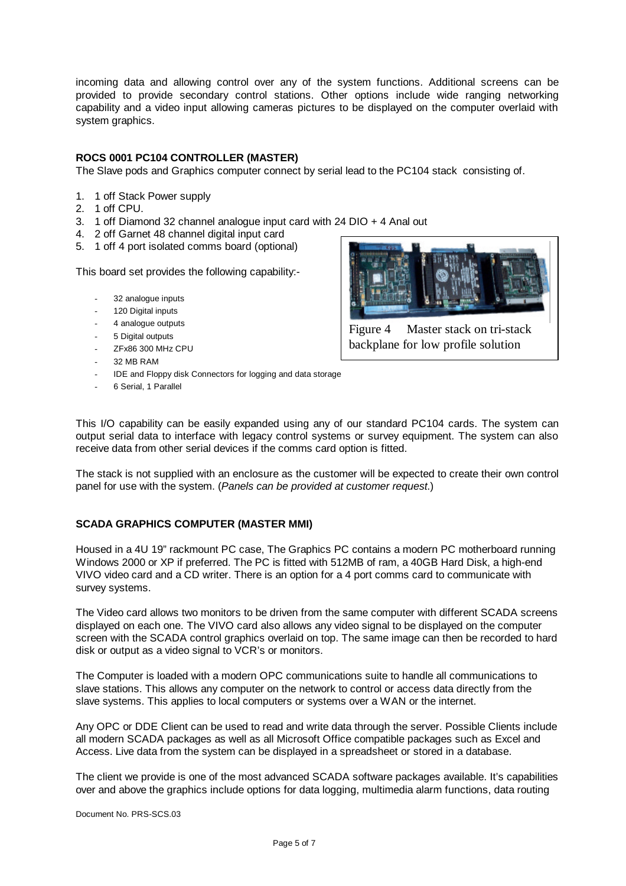incoming data and allowing control over any of the system functions. Additional screens can be provided to provide secondary control stations. Other options include wide ranging networking capability and a video input allowing cameras pictures to be displayed on the computer overlaid with system graphics.

#### **ROCS 0001 PC104 CONTROLLER (MASTER)**

The Slave pods and Graphics computer connect by serial lead to the PC104 stack consisting of.

- 1. 1 off Stack Power supply
- 2. 1 off CPU.
- 3. 1 off Diamond 32 channel analogue input card with 24 DIO + 4 Anal out
- 4. 2 off Garnet 48 channel digital input card
- 5. 1 off 4 port isolated comms board (optional)

This board set provides the following capability:-

- 32 analogue inputs
- 120 Digital inputs
- 4 analogue outputs
- 5 Digital outputs
- ZFx86 300 MHz CPU
- 32 MB RAM
- IDE and Floppy disk Connectors for logging and data storage
- 6 Serial, 1 Parallel



Figure 4 Master stack on tri-stack backplane for low profile solution

This I/O capability can be easily expanded using any of our standard PC104 cards. The system can output serial data to interface with legacy control systems or survey equipment. The system can also receive data from other serial devices if the comms card option is fitted.

The stack is not supplied with an enclosure as the customer will be expected to create their own control panel for use with the system. (*Panels can be provided at customer request*.)

#### **SCADA GRAPHICS COMPUTER (MASTER MMI)**

Housed in a 4U 19" rackmount PC case, The Graphics PC contains a modern PC motherboard running Windows 2000 or XP if preferred. The PC is fitted with 512MB of ram, a 40GB Hard Disk, a high-end VIVO video card and a CD writer. There is an option for a 4 port comms card to communicate with survey systems.

The Video card allows two monitors to be driven from the same computer with different SCADA screens displayed on each one. The VIVO card also allows any video signal to be displayed on the computer screen with the SCADA control graphics overlaid on top. The same image can then be recorded to hard disk or output as a video signal to VCR's or monitors.

The Computer is loaded with a modern OPC communications suite to handle all communications to slave stations. This allows any computer on the network to control or access data directly from the slave systems. This applies to local computers or systems over a WAN or the internet.

Any OPC or DDE Client can be used to read and write data through the server. Possible Clients include all modern SCADA packages as well as all Microsoft Office compatible packages such as Excel and Access. Live data from the system can be displayed in a spreadsheet or stored in a database.

The client we provide is one of the most advanced SCADA software packages available. It's capabilities over and above the graphics include options for data logging, multimedia alarm functions, data routing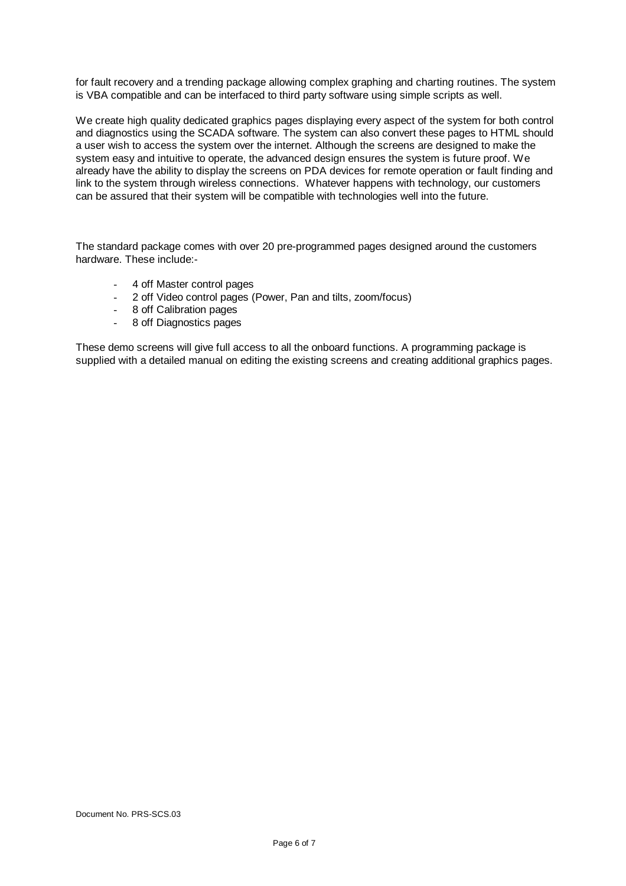for fault recovery and a trending package allowing complex graphing and charting routines. The system is VBA compatible and can be interfaced to third party software using simple scripts as well.

We create high quality dedicated graphics pages displaying every aspect of the system for both control and diagnostics using the SCADA software. The system can also convert these pages to HTML should a user wish to access the system over the internet. Although the screens are designed to make the system easy and intuitive to operate, the advanced design ensures the system is future proof. We already have the ability to display the screens on PDA devices for remote operation or fault finding and link to the system through wireless connections. Whatever happens with technology, our customers can be assured that their system will be compatible with technologies well into the future.

The standard package comes with over 20 pre-programmed pages designed around the customers hardware. These include:-

- 4 off Master control pages
- 2 off Video control pages (Power, Pan and tilts, zoom/focus)
- 8 off Calibration pages
- 8 off Diagnostics pages

These demo screens will give full access to all the onboard functions. A programming package is supplied with a detailed manual on editing the existing screens and creating additional graphics pages.